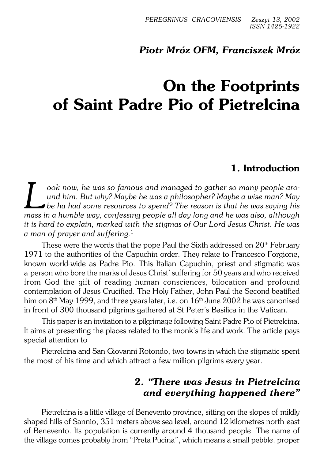# *Piotr Mróz OFM, Franciszek Mróz*

# **On the Footprints of Saint Padre Pio of Pietrelcina**

# **1. Introduction**

**L** cook now, he was so famous and managed to gather so many people around him. But why? Maybe he was a philosopher? Maybe a wise man? Maybe he ha had some resources to spend? The reason is that he was saying his mass in a *ook now, he was so famous and managed to gather so many people aro− und him. But why? Maybe he was a philosopher? Maybe a wise man? May be ha had some resources to spend? The reason is that he was saying his it is hard to explain, marked with the stigmas of Our Lord Jesus Christ. He was a man of prayer and suffering.*<sup>1</sup>

These were the words that the pope Paul the Sixth addressed on 20<sup>th</sup> February 1971 to the authorities of the Capuchin order. They relate to Francesco Forgione, known world−wide as Padre Pio. This Italian Capuchin, priest and stigmatic was aperson who bore the marks of Jesus Christ' suffering for 50 years and who received from God the gift of reading human consciences, bilocation and profound contemplation of Jesus Crucified. The Holy Father, John Paul the Second beatified him on  $8<sup>th</sup>$  May 1999, and three years later, i.e. on  $16<sup>th</sup>$  June 2002 he was canonised in front of 300 thousand pilgrims gathered at St Peter's Basilica in the Vatican.

This paper is an invitation to a pilgrimage following Saint Padre Pio of Pietrelcina. It aims at presenting the places related to the monk's life and work. The article pays special attention to

Pietrelcina and San Giovanni Rotondo, two towns in which the stigmatic spent the most of his time and which attract a few million pilgrims every year.

# **2.** *"There was Jesus in Pietrelcina and everything happened there"*

Pietrelcina is a little village of Benevento province, sitting on the slopes of mildly shaped hills of Sannio, 351 meters above sea level, around 12 kilometres north−east of Benevento. Its population is currently around 4 thousand people. The name of the village comes probably from "Preta Pucina", which means a small pebble. proper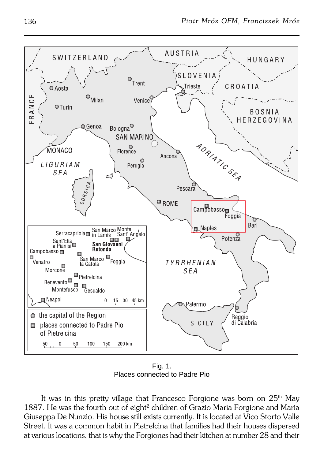

Fig. 1. Places connected to Padre Pio

It was in this pretty village that Francesco Forgione was born on  $25<sup>th</sup>$  May 1887. He was the fourth out of eight<sup>2</sup> children of Grazio Maria Forgione and Maria Giuseppa De Nunzio. His house still exists currently. It is located at Vico Storto Valle Street. It was a common habit in Pietrelcina that families had their houses dispersed at various locations, that is why the Forgiones had their kitchen at number 28 and their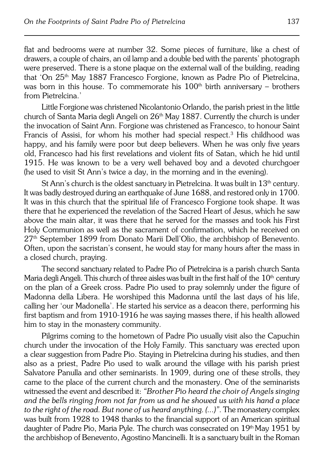flat and bedrooms were at number 32. Some pieces of furniture, like a chest of drawers, a couple of chairs, an oil lamp and a double bed with the parents' photograph were preserved. There is a stone plaque on the external wall of the building, reading that 'On 25th May 1887 Francesco Forgione, known as Padre Pio of Pietrelcina, was born in this house. To commemorate his  $100<sup>th</sup>$  birth anniversary – brothers from Pietrelcina.'

Little Forgione was christened Nicolantonio Orlando, the parish priest in thelittle church of Santa Maria degli Angeli on 26<sup>th</sup> May 1887. Currently the church is under the invocation of Saint Ann. Forgione was christened as Francesco, to honour Saint Francis of Assisi, for whom his mother had special respect.<sup>3</sup> His childhood was happy, and his family were poor but deep believers. When he was only five years old, Francesco had his first revelations and violent fits of Satan, which he hid until 1915. He was known to be a very well behaved boy and a devoted churchgoer (he used to visit St Ann's twice a day, in the morning and in the evening).

St Ann's church is the oldest sanctuary in Pietrelcina. It was built in  $13<sup>th</sup>$  century. It was badly destroyed during an earthquake of June 1688, and restored only in 1700. It was in this church that the spiritual life of Francesco Forgione took shape. It was there that he experienced the revelation of the Sacred Heart of Jesus, which he saw above the main altar, it was there that he served for the masses and took his First Holy Communion as well as the sacrament of confirmation, which he received on 27th September 1899 from Donato Marii Dell'Olio, the archbishop of Benevento. Often, upon the sacristan's consent, he would stay for many hours after the mass in a closed church, praying.

The second sanctuary related to Padre Pio of Pietrelcina is a parish church Santa Maria degli Angeli. This church of three aisles was built in the first half of the  $10<sup>th</sup>$  century on the plan of a Greek cross. Padre Pio used to pray solemnly under the figure of Madonna della Libera. He worshiped this Madonna until the last days of his life, calling her 'our Madonella'. He started his service as a deacon there, performing his first baptism and from 1910−1916 he was saying masses there, if his health allowed him to stay in the monastery community.

Pilgrims coming to the hometown of Padre Pio usually visit also the Capuchin church under the invocation of the Holy Family. This sanctuary was erected upon a clear suggestion from Padre Pio. Staying in Pietrelcina during his studies, and then also as a priest, Padre Pio used to walk around the village with his parish priest Salvatore Panulla and other seminarists. In 1909, during one of these strolls, they came to the place of the current church and the monastery. One of the seminarists witnessed the event and described it: *"Brother Pio heard the choir of Angels singing and the bells ringing from not far from us and he showed us with his hand aplace to the right of the road. But none of us heard anything. (...)"*. The monastery complex was built from 1928 to 1948 thanks to the financial support of an American spiritual daughter of Padre Pio, Maria Pyle. The church was consecrated on 19<sup>th</sup> May 1951 by the archbishop of Benevento, Agostino Mancinelli. It is a sanctuary built in the Roman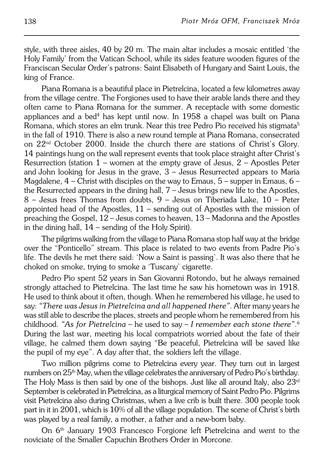style, with three aisles, 40 by 20 m. The main altar includes a mosaic entitled 'the Holy Family' from the Vatican School, while its sides feature wooden figures of the Franciscan Secular Order's patrons: Saint Elisabeth of Hungary and Saint Louis, the king of France.

Piana Romana is a beautiful place in Pietrelcina, located a few kilometres away from the village centre. The Forgiones used to have their arable lands there and they often came to Piana Romana for the summer. A receptacle with some domestic appliances and a bed<sup>4</sup> has kept until now. In 1958 a chapel was built on Piana Romana, which stores an elm trunk. Near this tree Pedro Pio received his stigmata<sup>5</sup> in the fall of 1910. There is also a new round temple at Piana Romana, consecrated on 22nd October 2000. Inside the church there are stations of Christ's Glory. 14 paintings hung on the wall represent events that took place straight after Christ's Resurrection (station  $1$  – women at the empty grave of Jesus,  $2$  – Apostles Peter and John looking for Jesus in the grave,  $3$  – Jesus Resurrected appears to Maria Magdalene,  $4$  – Christ with disciples on the way to Emaus,  $5$  – supper in Emaus,  $6$  – the Resurrected appears in the dining hall, 7 – Jesus brings new life to the Apostles, 8 – Jesus frees Thomas from doubts, 9 – Jesus on Tiberiada Lake, 10 – Peter appointed head of the Apostles,  $11$  – sending out of Apostles with the mission of preaching theGospel, 12 – Jesus comes to heaven, 13 – Madonna and the Apostles in the dining hall, 14 – sending of the Holy Spirit).

The pilgrims walking from the village to Piana Romana stop half way at the bridge over the "Ponticello" stream. This place is related to two events from Padre Pio's life. The devils he met there said: 'Now a Saint is passing'. It was also there that he choked on smoke, trying to smoke a 'Tuscany' cigarette.

Pedro Pio spent 52 years in San Giovanni Rotondo, but he always remained strongly attached to Pietrelcina. The last time he saw his hometown was in 1918. He used to think about it often, though. When he remembered his village, he used to say: *"There was Jesus in Pietrelcina and all happened there"*. After many years he was still able to describe the places, streets and people whom he remembered fromhis childhood. *"As for Pietrelcina* – he used to say – *I remember each stone there"*. 6 During the last war, meeting his local compatriots worried about the fate of their village, he calmed them down saying "Be peaceful, Pietrelcina will be saved like the pupil of my eye". A day after that, the soldiers left the village.

Two million pilgrims come to Pietrelcina every year. They turn out in largest numbers on 25<sup>th</sup> May, when the village celebrates the anniversary of Pedro Pio's birthday. The Holy Mass is then said by one of the bishops. Just like all around Italy, also  $23<sup>rd</sup>$ September is celebrated in Pietrelcina, as a liturgical memory of Saint Pedro Pio. Pilgrims visit Pietrelcina also during Christmas, when a live crib is built there. 300 people took part in it in 2001, which is 10% of all the village population. The scene of Christ's birth was played by a real family, a mother, a father and a new−born baby.

On 6th January 1903 Francesco Forgione left Pietrelcina and went to the noviciate of the Smaller Capuchin Brothers Order in Morcone.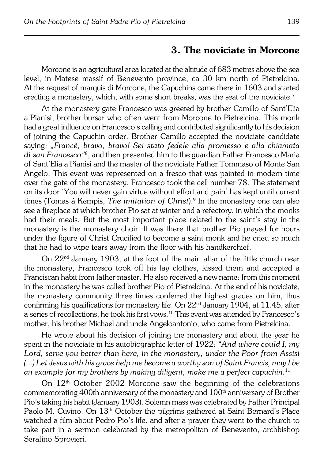## **3. The noviciate in Morcone**

Morcone is an agricultural area located at the altitude of 683 metres above the sea level, in Matese massif of Benevento province, ca 30 km north of Pietrelcina. At the request of marquis di Morcone, the Capuchins came there in 1603 and started erecting a monastery, which, with some short breaks, was the seat of the noviciate.<sup>7</sup>

At the monastery gate Francesco was greeted by brother Camillo of Sant'Elia aPianisi, brother bursar who often went from Morcone to Pietrelcina. This monk had a great influence on Francesco's calling and contributed significantly to his decision of joining the Capuchin order. Brother Camillo accepted the noviciate candidate saying: *"Francě, bravo, bravo! Sei stato fedele alla promesso e alla chiamata* di *san Francesco"*8, and then presented him to the guardian Father Francesco Maria of Sant'Elia a Pianisi and the master of the noviciate Father Tommaso of Monte San Angelo. This event was represented on a fresco that was painted in modern time over the gate of the monastery. Francesco took the cell number 78. The statement on its door 'You will never gain virtue without effort and pain' has kept until current times (Tomas á Kempis, *The imitation of Christ*).<sup>9</sup> In the monastery one can also see a fireplace at which brother Pio sat at winter and a refectory, in which the monks had their meals. But the most important place related to the saint's stay in the monastery is the monastery choir. It was there that brother Pio prayed forhours under the figure of Christ Crucified to become a saint monk and he cried so much that he had to wipe tears away from the floor with his handkerchief.

On 22nd January 1903, at the foot of the main altar of the little church near themonastery, Francesco took off his lay clothes, kissed them and accepted a Franciscan habit from father master. He also received a new name: from this moment in the monastery he was called brother Pio of Pietrelcina. At the end of his noviciate, the monastery community three times conferred the highest grades on him, thus confirming his qualifications for monastery life. On  $22<sup>nd</sup>$  January 1904, at 11.45, after a series of recollections, he took his first vows.<sup>10</sup> This event was attended by Francesco's mother, his brother Michael and uncle Angeloantonio, who came fromPietrelcina.

He wrote about his decision of joining the monastery and about the year he spent in the noviciate in his autobiographic letter of 1922: *"And where could I, my Lord, serve you better than here, in the monastery, under the Poor from Assisi (...) Let Jesus with his grace help me become a worthy son of Saint Francis, may I be an example for my brothers by making diligent, make me a perfect capuchin.*<sup>11</sup>

On  $12<sup>th</sup>$  October 2002 Morcone saw the beginning of the celebrations commemorating 400th anniversary of the monastery and  $100<sup>th</sup>$  anniversary of Brother Pio's taking his habit (January 1903). Solemn mass was celebrated by Father Principal Paolo M. Cuvino. On 13<sup>th</sup> October the pilgrims gathered at Saint Bernard's Place watched a film about Pedro Pio's life, and after a prayer they went to the church to take part in a sermon celebrated by the metropolitan of Benevento, archbishop Serafino Sprovieri.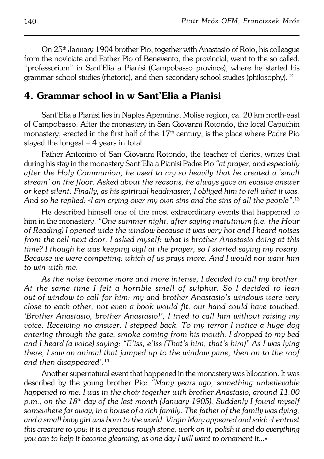On 25th January 1904 brother Pio, together with Anastasio of Roio, his colleague from the noviciate and Father Pio of Benevento, the provincial, went to the so called. "professorium" in Sant'Elia a Pianisi (Campobasso province), where he started his grammar school studies (rhetoric), and then secondary school studies (philosophy).<sup>12</sup>

## **4. Grammar school in w Sant'Elia a Pianisi**

Sant'Elia a Pianisi lies in Naples Apennine, Molise region, ca. 20 km north−east of Campobasso. After the monastery in San Giovanni Rotondo, the local Capuchin monastery, erected in the first half of the  $17<sup>th</sup>$  century, is the place where Padre Pio stayed the longest  $-4$  years in total.

Father Antonino of San Giovanni Rotondo, the teacher of clerics, writes that during his stay in the monastery Sant'Elia a Pianisi Padre Pio *"at prayer, and especially after the Holy Communion, he used to cry so heavily that he created a'small stream' on the floor. Asked about the reasons, he always gave an evasive answer or kept silent. Finally, as his spiritual headmaster, I obliged him to tell what it was. And so he replied:* «*I am crying over my own sins and the sins of all the people"*. 13

He described himself one of the most extraordinary events that happened to him in the monastery: *"One summer night, after saying matutinum (i.e. the Hour of Reading) I opened wide the window because it was very hot and I heard noises from the cell next door. I asked myself: what is brother Anastasio doing at this time? I though he was keeping vigil at the prayer, so I started saying my rosary. Because we were competing: which of us prays more. And I would not want him to win with me.*

*As the noise became more and more intense, I decided to call my brother. At the same time I felt a horrible smell of sulphur. So I decided to lean* out of window to call for him: my and brother Anastasio's windows were very *close to each other, not even a book would fit, our hand could have touched. 'Brother Anastasio, brother Anastasio!', I tried to call him without raising my voice. Receiving no answer, I stepped back. To my terror I notice a huge dog entering through thegate, smoke coming from his mouth. I dropped to my bed and I heard (a voice) saying: "E'iss, e'iss (That's him, that's him)" As I was lying there, I saw an animal that jumped up to the window pane, then on to the roof and then disappeared'*. 14

Another supernatural event that happened in the monastery was bilocation. Itwas described by the young brother Pio: *"Many years ago, something unbelievable happened to me: I was in the choir together with brother Anastasio, around 11.00 p.m., on the 18th day of the last month (January 1905). Suddenly I found myself somewhere far away, in a house of a rich family. The father of the family was dying, and a small baby girl was born to the world. Virgin Mary appeared and said:* «*Ientrust this creature to you; it is a precious rough stone, work on it, polish it and do everything you can to help it become gleaming, as one day I will want to ornamentit...*»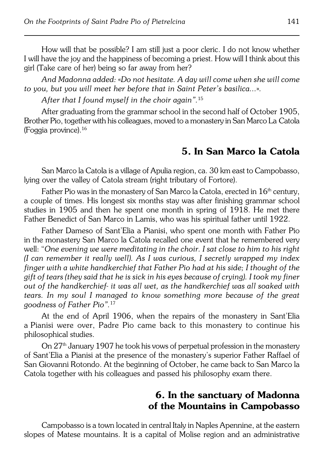How will that be possible? I am still just a poor cleric. I do not know whether Iwill have the joy and the happiness of becoming a priest. How will I think about this girl (Take care of her) being so far away from her?

*And Madonna added:* «*Do not hesitate. A day will come when she will come to you, but you will meet her before that in Saint Peter's basilica...*»*.*

*After that I found myself in the choir again".*<sup>15</sup>

After graduating from the grammar school in the second half of October 1905, Brother Pio, together with his colleagues, moved to a monastery in San Marco LaCatola (Foggia province).<sup>16</sup>

# **5. In San Marco la Catola**

San Marco la Catola is a village of Apulia region, ca. 30 km east to Campobasso, lying over the valley of Catola stream (right tributary of Fortore).

Father Pio was in the monastery of San Marco la Catola, erected in 16<sup>th</sup> century, a couple of times. His longest six months stay was after finishing grammar school studies in 1905 and then he spent one month in spring of 1918. He met there Father Benedict of San Marco in Lamis, who was his spiritual father until 1922.

Father Dameso of Sant'Elia a Pianisi, who spent one month with Father Pio in the monastery San Marco la Catola recalled one event that he remembered very well: "*One evening we were meditating in the choir. I sat close to him to his right (I can remember it really well). As I was curious, I secretly wrapped my index finger with a white handkerchief that Father Pio had at his side; I thought of the gift of tears (they said that he is sick in his eyes because of crying). I took my finer out of the handkerchief− it was all wet, as the handkerchief was all soaked with tears. In my soul I managed to know something more because of the great goodness of Father Pio".*<sup>17</sup>

At the end of April 1906, when the repairs of the monastery in Sant'Elia aPianisi were over, Padre Pio came back to this monastery to continue his philosophical studies.

On 27<sup>th</sup> January 1907 he took his vows of perpetual profession in the monastery of Sant'Elia a Pianisi at the presence of the monastery's superior Father Raffael of San Giovanni Rotondo. At the beginning of October, he came back to San Marco la Catola together with his colleagues and passed his philosophy exam there.

# **6. In the sanctuary of Madonna of the Mountains in Campobasso**

Campobasso is a town located in central Italy in Naples Apennine, at the eastern slopes of Matese mountains. It is a capital of Molise region and an administrative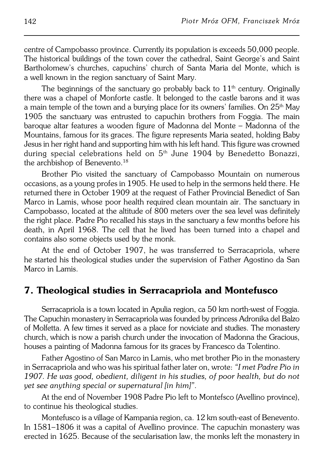centre of Campobasso province. Currently its population is exceeds 50,000 people. The historical buildings of the town cover the cathedral, Saint George's and Saint Bartholomew's churches, capuchins' church of Santa Maria del Monte, which is awell known in the region sanctuary of Saint Mary.

The beginnings of the sanctuary go probably back to  $11<sup>th</sup>$  century. Originally there was a chapel of Monforte castle. It belonged to the castle barons and it was a main temple of the town and a burying place for its owners' families. On  $25<sup>th</sup>$  May 1905 the sanctuary was entrusted to capuchin brothers from Foggia. The main baroque altar features a wooden figure of Madonna del Monte – Madonna of the Mountains, famous for its graces. The figure represents Maria seated, holding Baby Jesus in her right hand and supporting him with his left hand. This figure was crowned during special celebrations held on 5<sup>th</sup> June 1904 by Benedetto Bonazzi, the archbishop of Benevento.<sup>18</sup>

Brother Pio visited the sanctuary of Campobasso Mountain on numerous occasions, as a young profes in 1905. He used to help in the sermons held there. He returned there in October 1909 at the request of Father Provincial Benedict of San Marco in Lamis, whose poor health required clean mountain air. The sanctuary in Campobasso, located at the altitude of 800 meters over the sea level was definitely the right place. Padre Pio recalled his stays in the sanctuary a few months before his death, in April 1968. The cell that he lived has been turned into a chapel and contains also some objects used by the monk.

At the end of October 1907, he was transferred to Serracapriola, where he started his theological studies under the supervision of Father Agostino da San Marco in Lamis.

## **7. Theological studies in Serracapriola and Montefusco**

Serracapriola is a town located in Apulia region, ca 50 km north−west of Foggia. The Capuchin monastery in Serracapriola was founded by princess Adronika del Balzo of Molfetta. A few times it served as a place for noviciate and studies. Themonastery church, which is now a parish church under the invocation of Madonna the Gracious, houses a painting of Madonna famous for its graces by Francesco da Tolentino.

Father Agostino of San Marco in Lamis, who met brother Pio in the monastery in Serracapriola and who was his spiritual father later on, wrote: *"I met Padre Pio in 1907. He was good, obedient, diligent in his studies, of poor health, but do not yet see anything special or supernatural [in him]"*.

At the end of November 1908 Padre Pio left to Montefsco (Avellino province), to continue his theological studies.

Montefusco is a village of Kampania region, ca. 12 km south−east of Benevento. In 1581–1806 it was a capital of Avellino province. The capuchin monastery was erected in 1625. Because of the secularisation law, the monks left the monastery in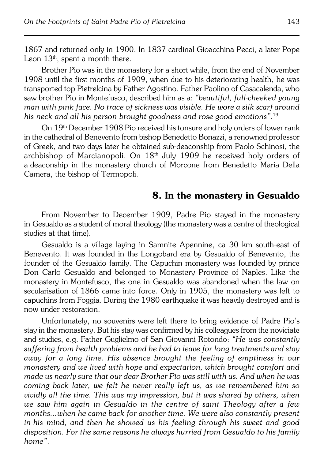1867 and returned only in 1900. In 1837 cardinal Gioacchina Pecci, a later Pope Leon  $13<sup>th</sup>$ , spent a month there.

Brother Pio was in the monastery for a short while, from the end of November 1908 until the first months of 1909, when due to his deteriorating health, he was transported top Pietrelcina by Father Agostino. Father Paolino of Casacalenda, who saw brother Pio in Montefusco, described him as a: *"beautiful, full−cheeked young man with pink face. No trace of sickness was visible. He wore a silk scarf around his neck and all his person brought goodness and rose good emotions"*. 19

On 19th December 1908 Pio received his tonsure and holy orders of lower rank in the cathedral of Benevento from bishop Benedetto Bonazzi, a renowned professor of Greek, and two days later he obtained sub−deaconship from Paolo Schinosi, the archbishop of Marcianopoli. On 18<sup>th</sup> July 1909 he received holy orders of a deaconship in the monastery church of Morcone from Benedetto Maria Della Camera, the bishop of Termopoli.

## **8. In the monastery in Gesualdo**

From November to December 1909, Padre Pio stayed in the monastery inGesualdo as a student of moral theology (the monastery was a centre of theological studies at that time).

Gesualdo is a village laying in Samnite Apennine, ca 30 km south−east of Benevento. It was founded in the Longobard era by Gesualdo of Benevento, the founder of the Gesualdo family. The Capuchin monastery was founded by prince Don Carlo Gesualdo and belonged to Monastery Province of Naples. Like the monastery inMontefusco, the one in Gesualdo was abandoned when the law on secularisation of 1866 came into force. Only in 1905, the monastery was left to capuchins from Foggia. During the 1980 earthquake it was heavily destroyed and is now under restoration.

Unfortunately, no souvenirs were left there to bring evidence of Padre Pio's stay in the monastery. But his stay was confirmed by his colleagues from the noviciate and studies, e.g. Father Guglielmo of San Giovanni Rotondo: *"He was constantly suffering from health problems and he had to leave for long treatments and stay away for a long time. His absence brought the feeling of emptiness in our monastery and we lived with hope and expectation, which brought comfort and made us nearly sure that our dear Brother Pio was still with us. And when he was coming back later, we felt he never really left us, as we remembered him so vividly all the time. This was my impression, but it was shared by others, when we saw him again in Gesualdo in the centre of saint Theology after a few months...when he came back for another time. We were also constantly present inhis mind, and then he showed us his feeling through his sweet and good disposition. For the same reasons he always hurried from Gesualdo to his family home"*.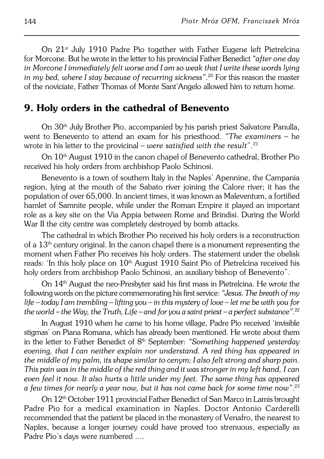On 21st July 1910 Padre Pio together with Father Eugene left Pietrelcina forMorcone. But he wrote in the letter to his provincial Father Benedict *"after one day inMorcone I immediately felt worse and I am so weak that I write these words lying in my bed, where I stay because of recurring sickness"*. <sup>20</sup> For this reason the master of the noviciate, Father Thomas of Monte Sant'Angelo allowed him to return home.

## **9. Holy orders in the cathedral of Benevento**

On 30<sup>th</sup> July Brother Pio, accompanied by his parish priest Salvatore Panulla, went to Benevento to attend an exam for his priesthood. *"The examiners* – he wrote in his letter to the provicinal – *were satisfied with the result*".<sup>21</sup>

On 10th August 1910 in the canon chapel of Benevento cathedral, Brother Pio received his holy orders from archbishop Paolo Schinosi.

Benevento is a town of southern Italy in the Naples' Apennine, the Campania region, lying at the mouth of the Sabato river joining the Calore river; it has the population of over 65,000. In ancient times, it was known as Maleventum, a fortified hamlet of Samnite people, while under the Roman Empire it played an important role as a key site on the Via Appia between Rome and Brindisi. During theWorld War II the city centre was completely destroyed by bomb attacks.

The cathedral in which Brother Pio received his holy orders is a reconstruction of a  $13<sup>th</sup>$  century original. In the canon chapel there is a monument representing the moment when Father Pio receives his holy orders. The statement under the obelisk reads: 'In this holy place on  $10<sup>th</sup>$  August 1910 Saint Pio of Pietrelcina received his holy orders from archbishop Paolo Schinosi, an auxiliary bishop of Benevento".

On 14th August the neo−Presbyter said his first mass in Pietrelcina. He wrote the following words on the picture commemorating his first service: "Jesus. The breath of my *life – today I am trembling – lifting you – in this mystery of love – let me be withyou for* the world – the Way, the Truth, Life – and for you a saint priest – a perfect substance".<sup>22</sup>

In August 1910 when he came to his home village, Padre Pio received 'invisible stigmas' on Piana Romana, which has already been mentioned. He wrote about them in the letter to Father Benedict of 8<sup>th</sup> September: "Something happened yesterday *evening, that I can neither explain nor understand. A red thing has appeared in the middle of my palm, its shape similar to cenym; I also felt strong and sharp pain. This pain was in the middle of the red thing and it was stronger in my left hand,Ican even feel it now. It also hurts a little under my feet. The same thing has appeared afew times for nearly a year now, but it has not came back for some time now"*. 23

On 12th October 1911 provincial Father Benedict of San Marco in Lamis brought Padre Pio for a medical examination in Naples. Doctor Antonio Carderelli recommended that the patient be placed in the monastery of Venafro, the nearest to Naples, because a longer journey could have proved too strenuous, especially as Padre Pio's days were numbered ....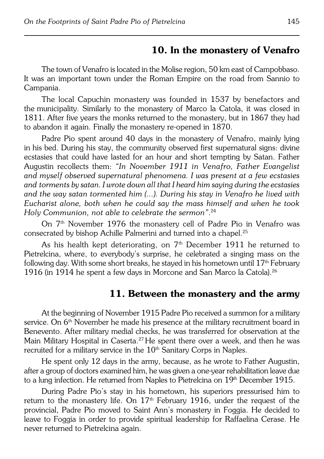## **10. In the monastery of Venafro**

The town of Venafro is located in the Molise region, 50 km east of Campobbaso. It was an important town under the Roman Empire on the road from Sannio to Campania.

The local Capuchin monastery was founded in 1537 by benefactors and the municipality. Similarly to the monastery of Marco la Catola, it was closed in 1811. After five years the monks returned to the monastery, but in 1867 they had to abandon it again. Finally the monastery re−opened in 1870.

Padre Pio spent around 40 days in the monastery of Venafro, mainly lying in his bed. During his stay, the community observed first supernatural signs: divine ecstasies that could have lasted for an hour and short tempting by Satan. Father Augustin recollects them: *"In November 1911 in Venafro, Father Evangelist andmyself observed supernatural phenomena. I was present at a few ecstasies* and torments by satan. I wrote down all that I heard him saying during the ecstasies and the way satan tormented him (...). During his stay in Venafro he lived with *Eucharist alone, both when he could say the mass himself and when he took Holy Communion, not able to celebrate the sermon"*. 24

On 7<sup>th</sup> November 1976 the monastery cell of Padre Pio in Venafro was consecrated by bishop Achille Palmerini and turned into a chapel.<sup>25</sup>

As his health kept deteriorating, on  $7<sup>th</sup>$  December 1911 he returned to Pietrelcina, where, to everybody's surprise, he celebrated a singing mass on the following day. With some short breaks, he stayed in his hometown until  $17<sup>th</sup>$  February 1916 (in 1914 he spent a few days in Morcone and San Marco la Catola).<sup>26</sup>

## **11. Between the monastery and the army**

At the beginning of November 1915 Padre Pio received a summon for a military service. On  $6<sup>th</sup>$  November he made his presence at the military recruitment board in Benevento. After military medial checks, he was transferred for observation at the Main Military Hospital in Caserta.<sup>27</sup> He spent there over a week, and then he was recruited for a military service in the 10<sup>th</sup> Sanitary Corps in Naples.

He spent only 12 days in the army, because, as he wrote to Father Augustin, after a group of doctors examined him, he was given a one−year rehabilitation leave due to a lung infection. He returned from Naples to Pietrelcina on  $19<sup>th</sup>$  December 1915.

During Padre Pio's stay in his hometown, his superiors pressurised him to return to the monastery life. On  $17<sup>th</sup>$  February 1916, under the request of the provincial, Padre Pio moved to Saint Ann's monastery in Foggia. He decided to leave to Foggia in order to provide spiritual leadership for Raffaelina Cerase. He never returned to Pietrelcina again.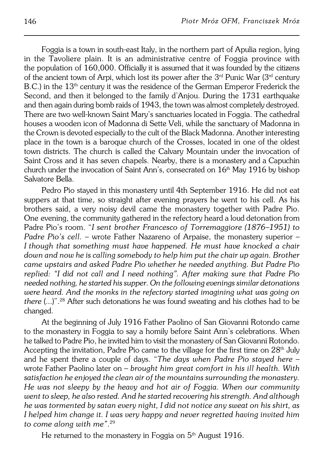Foggia is a town in south−east Italy, in the northern part of Apulia region, lying in the Tavoliere plain. It is an administrative centre of Foggia province with the population of  $160,000$ . Officially it is assumed that it was founded by the citizens of the ancient town of Arpi, which lost its power after the  $3<sup>rd</sup>$  Punic War  $(3<sup>rd</sup>$  century B.C.) in the 13<sup>th</sup> century it was the residence of the German Emperor Frederick the Second, and then it belonged to the family d'Anjou. During the 1731 earthquake and then again during bomb raids of 1943, the town was almost completely destroyed. There are two well−known Saint Mary's sanctuaries located in Foggia. The cathedral houses a wooden icon of Madonna di Sette Veli, while the sanctuary of Madonna in the Crown is devoted especially to the cult of the Black Madonna. Another interesting place in the town is a baroque church of the Crosses, located in one of the oldest town districts. The church is called the Calvary Mountain under the invocation of Saint Cross and it has seven chapels. Nearby, there is a monastery and a Capuchin church under the invocation of Saint Ann's, consecrated on  $16<sup>th</sup>$  May 1916 by bishop Salvatore Bella.

Pedro Pio stayed in this monastery until 4th September 1916. He did not eat suppers at that time, so straight after evening prayers he went to his cell. As his brothers said, a very noisy devil came the monastery together with Padre Pio. One evening, the community gathered in the refectory heard a loud detonation from Padre Pio's room. "*I sent brother Francesco of Torremaggiore (1876–1951) to Padre Pio's cell.* – wrote Father Nazareno of Arpaise, the monastery superior – *Ithough that something must have happened. He must have knocked a chair down and now he is calling somebody to help him put the chair up again. Brother came upstairs andasked Padre Pio whether he needed anything. But Padre Pio replied: "I did not call and I need nothing". After making sure that Padre Pio needed nothing, he started his supper. On the following evenings similar detonations* were heard. And the monks in the refectory started imagining what was going on *there* (...)".28 After such detonations he was found sweating and his clothes had to be changed.

At the beginning of July 1916 Father Paolino of San Giovanni Rotondo came to the monastery in Foggia to say a homily before Saint Ann's celebrations. When he talked to Padre Pio, he invited him to visit the monastery of San Giovanni Rotondo. Accepting the invitation, Padre Pio came to the village for the first time on  $28<sup>th</sup>$  July and he spent there a couple of days. "*The days when Padre Pio stayed here* – wrote Father Paolino later on – *brought him great comfort in his ill health. With satisfaction he enjoyed the clean air of the mountains surrounding the monastery. He was not sleepy by the heavy and hot air of Foggia. When our community went to sleep, he also rested. And he started recovering his strength. And although he was tormented by satan every night, I did not notice any sweat on his shirt, as I helped him change it. I was very happy and never regretted having invited him to come along with me"*. 29

He returned to the monastery in Foggia on  $5<sup>th</sup>$  August 1916.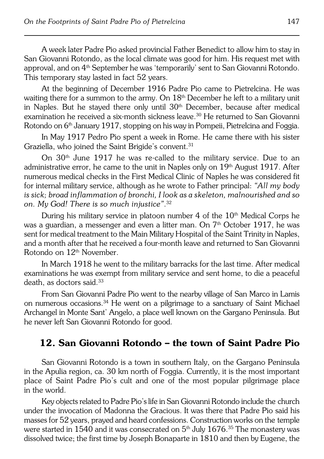A week later Padre Pio asked provincial Father Benedict to allow him to stay in San Giovanni Rotondo, as the local climate was good for him. His request met with approval, and on 4th September he was 'temporarily' sent to San Giovanni Rotondo. This temporary stay lasted in fact 52 years.

At the beginning of December 1916 Padre Pio came to Pietrelcina. He was waiting there for a summon to the army. On 18<sup>th</sup> December he left to a military unit in Naples. But he stayed there only until  $30<sup>th</sup>$  December, because after medical examination he received a six-month sickness leave.<sup>30</sup> He returned to San Giovanni Rotondo on 6<sup>th</sup> January 1917, stopping on his way in Pompeii, Pietrelcina and Foggia.

In May 1917 Pedro Pio spent a week in Rome. He came there with his sister Graziella, who joined the Saint Brigide's convent.<sup>31</sup>

On 30th June 1917 he was re−called to the military service. Due to an administrative error, he came to the unit in Naples only on  $19<sup>th</sup>$  August 1917. After numerous medical checks in the First Medical Clinic of Naples he was considered fit forinternal military service, although as he wrote to Father principal: *"All my body is sick; broad inflammation of bronchi, I look as a skeleton, malnourished and so on. My God! There is so much injustice"*. 32

During his military service in platoon number  $4$  of the  $10<sup>th</sup>$  Medical Corps he was a guardian, a messenger and even a litter man. On  $7<sup>th</sup>$  October 1917, he was sent for medical treatment to the Main Military Hospital of the Saint Trinity in Naples, and a month after that he received a four−month leave and returned to San Giovanni Rotondo on 12th November.

In March 1918 he went to the military barracks for the last time. After medical examinations he was exempt from military service and sent home, to die a peaceful death, as doctors said.<sup>33</sup>

From San Giovanni Padre Pio went to the nearby village of San Marco inLamis on numerous occasions.34 He went on a pilgrimage to a sanctuary of Saint Michael Archangel in Monte Sant' Angelo, a place well known on the Gargano Peninsula. But he never left San Giovanni Rotondo for good.

# **12. San Giovanni Rotondo – the town of Saint Padre Pio**

San Giovanni Rotondo is a town in southern Italy, on the Gargano Peninsula in the Apulia region, ca. 30 km north of Foggia. Currently, it is the most important place of Saint Padre Pio's cult and one of the most popular pilgrimage place in the world.

Key objects related to Padre Pio's life in San Giovanni Rotondo include thechurch under the invocation of Madonna the Gracious. It was there that Padre Pio said his masses for 52 years, prayed and heard confessions. Construction works on the temple were started in  $1540$  and it was consecrated on  $5<sup>th</sup>$  July  $1676$ .<sup>35</sup> The monastery was dissolved twice; the first time by Joseph Bonaparte in 1810 and then by Eugene, the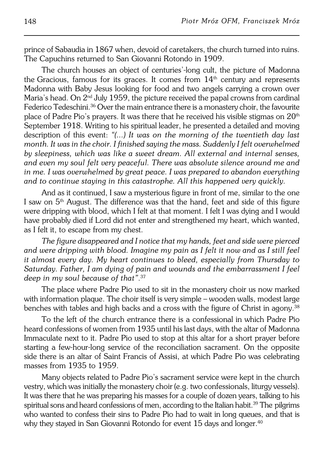prince of Sabaudia in 1867 when, devoid of caretakers, the church turned into ruins. The Capuchins returned to San Giovanni Rotondo in 1909.

The church houses an object of centuries'-long cult, the picture of Madonna the Gracious, famous for its graces. It comes from  $14<sup>th</sup>$  century and represents Madonna with Baby Jesus looking for food and two angels carrying a crown over Maria's head. On  $2<sup>nd</sup>$  July 1959, the picture received the papal crowns from cardinal Federico Tedeschini.<sup>36</sup> Over the main entrance there is a monastery choir, the favourite place of Padre Pio's prayers. It was there that he received his visible stigmas on  $20<sup>th</sup>$ September 1918. Writing to his spiritual leader, he presented a detailed and moving description of this event: *"(...) It was on the morning of the twentieth day last month. It was in the choir. I finished saying the mass. Suddenly I felt overwhelmed by sleepiness, which was like a sweet dream. All external and internal senses, and even my soul felt very peaceful. There was absolute silence around me and in me. I was overwhelmed by great peace. I was prepared to abandon everything and to continue staying in this catastrophe. All this happened very quickly.*

And as it continued, I saw a mysterious figure in front of me, similar to the one I saw on  $5<sup>th</sup>$  August. The difference was that the hand, feet and side of this figure were dripping with blood, which I felt at that moment. I felt I was dying and I would have probably died if Lord did not enter and strengthened my heart, which wanted, as I felt it, to escape from my chest.

*The figure disappeared and I notice that my hands, feet and side were pierced and were dripping with blood. Imagine my pain as I felt it now and as I still feel it almost every day. My heart continues to bleed, especially from Thursday to Saturday. Father, I am dying of pain and wounds and the embarrassment Ifeel deep in my soul because of that"*. 37

The place where Padre Pio used to sit in the monastery choir us now marked with information plaque. The choir itself is very simple – wooden walls, modest large benches with tables and high backs and a cross with the figure of Christ in agony.<sup>38</sup>

To the left of the church entrance there is a confessional in which Padre Pio heard confessions of women from 1935 until his last days, with the altar of Madonna Immaculate next to it. Padre Pio used to stop at this altar for a short prayer before starting a few−hour−long service of the reconciliation sacrament. On the opposite side there is an altar of Saint Francis of Assisi, at which Padre Pio was celebrating masses from 1935 to 1959.

Many objects related to Padre Pio's sacrament service were kept in the church vestry, which was initially the monastery choir (e.g. two confessionals, liturgy vessels). It was there that he was preparing his masses for a couple of dozen years, talking to his spiritual sons and heard confessions of men, according to the Italian habit.<sup>39</sup> The pilgrims who wanted to confess their sins to Padre Pio had to wait in long queues, and that is why they stayed in San Giovanni Rotondo for event 15 days and longer.<sup>40</sup>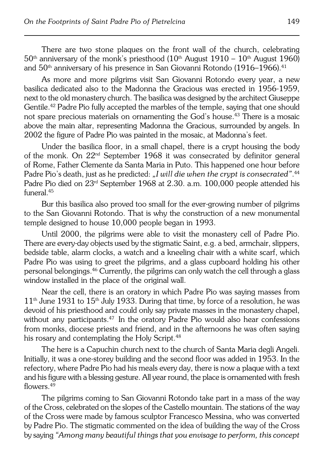There are two stone plaques on the front wall of the church, celebrating  $50<sup>th</sup>$  anniversary of the monk's priesthood (10<sup>th</sup> August 1910 – 10<sup>th</sup> August 1960) and 50<sup>th</sup> anniversary of his presence in San Giovanni Rotondo (1916–1966).<sup>41</sup>

As more and more pilgrims visit San Giovanni Rotondo every year, a new basilica dedicated also to the Madonna the Gracious was erected in 1956−1959, next to the old monastery church. The basilica was designed by the architect Giuseppe Gentile.42 Padre Pio fully accepted the marbles of the temple, saying that one should not spare precious materials on ornamenting the God's house.<sup>43</sup> There is a mosaic above the main altar, representing Madonna the Gracious, surrounded by angels. In 2002 the figure of Padre Pio was painted in the mosaic, at Madonna's feet.

Under the basilica floor, in a small chapel, there is a crypt housing the body of the monk. On 22<sup>nd</sup> September 1968 it was consecrated by definitor general ofRome, Father Clemente da Santa Maria in Puto. This happened one hour before Padre Pio's death, just as he predicted: *"I will die when the crypt is consecrated"*. 44 Padre Pio died on 23rd September 1968 at 2.30. a.m. 100,000 people attended his funeral.<sup>45</sup>

Bur this basilica also proved too small for the ever−growing number of pilgrims to the San Giovanni Rotondo. That is why the construction of a new monumental temple designed to house 10,000 people began in 1993.

Until 2000, the pilgrims were able to visit the monastery cell of Padre Pio. There are every-day objects used by the stigmatic Saint, e.g. a bed, armchair, slippers, bedside table, alarm clocks, a watch and a kneeling chair with a white scarf, which Padre Pio was using to greet the pilgrims, and a glass cupboard holding his other personal belongings.46 Currently, the pilgrims can only watch the cell through a glass window installed in the place of the original wall.

Near the cell, there is an oratory in which Padre Pio was saying masses from  $11<sup>th</sup>$  June 1931 to  $15<sup>th</sup>$  July 1933. During that time, by force of a resolution, he was devoid of his priesthood and could only say private masses in the monastery chapel, without any participants.<sup>47</sup> In the oratory Padre Pio would also hear confessions from monks, diocese priests and friend, and in the afternoons he was often saying his rosary and contemplating the Holy Script.<sup>48</sup>

The here is a Capuchin church next to the church of Santa Maria degli Angeli. Initially, it was a one−storey building and the second floor was added in 1953. In the refectory, where Padre Pio had his meals every day, there is now a plaque with a text and his figure with a blessing gesture. All year round, the place is ornamented with fresh flowers<sup>49</sup>

The pilgrims coming to San Giovanni Rotondo take part in a mass of the way of the Cross, celebrated on the slopes of the Castello mountain. The stations oftheway of the Cross were made by famous sculptor Francesco Messina, who was converted by Padre Pio. The stigmatic commented on the idea of building the way ofthe Cross by saying *"Among many beautiful things that you envisage to perform, this concept*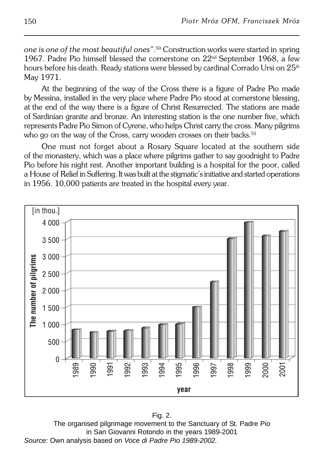*one is one of the most beautiful ones"*. <sup>50</sup> Construction works were started inspring 1967. Padre Pio himself blessed the cornerstone on  $22^{\text{nd}}$  September 1968, a few hours before his death. Ready stations were blessed by cardinal Corrado Ursi on 25<sup>th</sup> May 1971.

At the beginning of the way of the Cross there is a figure of Padre Pio made byMessina, installed in the very place where Padre Pio stood at cornerstone blessing, atthe end of the way there is a figure of Christ Resurrected. The stations are made of Sardinian granite and bronze. An interesting station is the one number five, which represents Padre Pio Simon of Cyrene, who helps Christ carry the cross. Many pilgrims who go on the way of the Cross, carry wooden crosses on their backs.<sup>51</sup>

One must not forget about a Rosary Square located at the southern side of the monastery, which was a place where pilgrims gather to say goodnight to Padre Pio before his night rest. Another important building is a hospital for the poor, called a House of Relief in Suffering. It was built at the stigmatic's initiative and started operations in 1956. 10,000 patients are treated in the hospital every year.



Fig. 2. The organised pilgrimage movement to the Sanctuary of St. Padre Pio in San Giovanni Rotondo in the years 1989-2001 Source: Own analysis based on Voce di Padre Pio 1989-2002.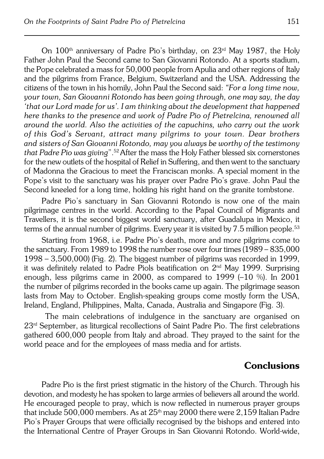On 100th anniversary of Padre Pio's birthday, on 23rd May 1987, the Holy Father John Paul the Second came to San Giovanni Rotondo. At a sports stadium, the Pope celebrated a mass for 50,000 people from Apulia and other regions of Italy and the pilgrims from France, Belgium, Switzerland and the USA. Addressing the citizens of the town in his homily, John Paul the Second said: *"For a long time now, your town, San Giovanni Rotondo has been going through, one may say, the day 'that our Lord made for us'. I am thinking about the development that happened here thanks to the presence and work of Padre Pio of Pietrelcina, renowned all around the world. Also the activities of the capuchins, who carry out the work ofthis God's Servant, attract many pilgrims to your town. Dear brothers* and sisters of San Giovanni Rotondo, may you always be worthy of the testimony *that Padre Pio was giving*".52After the mass the Holy Father blessed six cornerstones for the new outlets of the hospital of Relief in Suffering, and then went to the sanctuary of Madonna the Gracious to meet the Franciscan monks. A special moment inthe Pope's visit to the sanctuary was his prayer over Padre Pio's grave. John Paul the Second kneeled for a long time, holding his right hand on the granite tombstone.

Padre Pio's sanctuary in San Giovanni Rotondo is now one of the main pilgrimage centres in the world. According to the Papal Council of Migrants and Travellers, it is the second biggest world sanctuary, after Guadalupa in Mexico, it terms of the annual number of pilgrims. Every year it is visited by  $7.5$  million people.<sup>53</sup>

Starting from 1968, i.e. Padre Pio's death, more and more pilgrims come to the sanctuary. From 1989 to 1998 the number rose over four times (1989 – 835,000 1998 – 3,500,000) (Fig. 2). The biggest number of pilgrims was recorded in1999, it was definitely related to Padre Piols beatification on 2nd May 1999. Surprising enough, less pilgrims came in 2000, as compared to  $1999$  (-10 %). In 2001 the number of pilgrims recorded in the books came up again. The pilgrimage season lasts from May to October. English−speaking groups come mostly form the USA, Ireland, England, Philippines, Malta, Canada, Australia and Singapore (Fig. 3).

 The main celebrations of indulgence in the sanctuary are organised on  $23<sup>rd</sup>$  September, as liturgical recollections of Saint Padre Pio. The first celebrations gathered 600,000 people from Italy and abroad. They prayed to the saint for the world peace and for the employees of mass media and for artists.

# **Conclusions**

Padre Pio is the first priest stigmatic in the history of the Church. Through his devotion, and modesty he has spoken to large armies of believers all around theworld. He encouraged people to pray, which is now reflected in numerous prayer groups that include 500,000 members. As at  $25<sup>th</sup>$  may 2000 there were 2,159 Italian Padre Pio's Prayer Groups that were officially recognised by the bishops and entered into the International Centre of Prayer Groups in San Giovanni Rotondo. World−wide,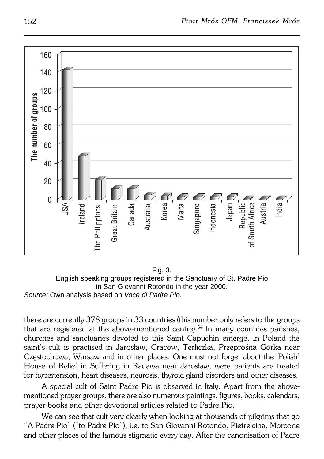

Fig. 3. English speaking groups registered in the Sanctuary of St. Padre Pio in San Giovanni Rotondo in the year 2000. Source: Own analysis based on Voce di Padre Pio.

there are currently 378 groups in 33 countries (this number only refers to the groups that are registered at the above−mentioned centre).54 In many countries parishes, churches and sanctuaries devoted to this Saint Capuchin emerge. In Poland the saint's cult is practised in Jarosław, Cracow, Terliczka, Przeprośna Górka near Częstochowa, Warsaw and in other places. One must not forget about the'Polish' House of Relief in Suffering in Radawa near Jarosław, were patients are treated for hypertension, heart diseases, neurosis, thyroid gland disorders and other diseases.

A special cult of Saint Padre Pio is observed in Italy. Apart from the above− mentioned prayer groups, there are also numerous paintings, figures, books, calendars, prayer books and other devotional articles related to Padre Pio.

We can see that cult very clearly when looking at thousands of pilgrims that go "A Padre Pio" ("to Padre Pio"), i.e. to San Giovanni Rotondo, Pietrelcina, Morcone and other places of the famous stigmatic every day. After the canonisation of Padre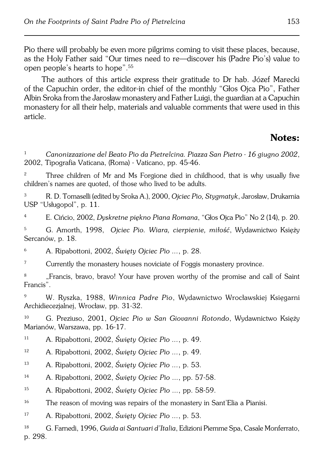Pio there will probably be even more pilgrims coming to visit these places, because, as the Holy Father said "Our times need to re—discover his (Padre Pio's) value to open people's hearts to hope".<sup>55</sup>

The authors of this article express their gratitude to Dr hab. Józef Marecki ofthe Capuchin order, the editor−in chief of the monthly "Głos Ojca Pio", Father Albin Sroka from the Jarosław monastery and Father Luigi, the guardian at a Capuchin monastery for all their help, materials and valuable comments that were used in this article.

# **Notes:**

<sup>1</sup> *Canonizzazione del Beato Pio da Pietrelcina. Piazza San Pietro − 16 giugno 2002*, 2002, Tipografia Vaticana, (Roma) − Vaticano, pp. 45−46.

<sup>2</sup> Three children of Mr and Ms Forgione died in childhood, that is why usually five children's names are quoted, of those who lived to be adults.

<sup>3</sup> R. D. Tomaselli (edited by Sroka A.), 2000, *Ojciec Pio, Stygmatyk*, Jarosław, Drukarnia USP "Usługopol", p. 11.

<sup>4</sup> E. Cińcio, 2002, *Dyskretne piękno Piana Romana*, "Głos Ojca Pio" No 2 (14), p.20.

<sup>5</sup> G. Amorth, 1998, *Ojciec Pio. Wiara, cierpienie, miłość*, Wydawnictwo Księży Sercanów, p. 18.

<sup>6</sup> A. Ripabottoni, 2002, *Święty Ojciec Pio ...*, p. 28.

<sup>7</sup> Currently the monastery houses noviciate of Foggis monastery province.

<sup>8</sup> "Francis, bravo, bravo! Your have proven worthy of the promise and call of Saint Francis".

<sup>9</sup> W. Ryszka, 1988, *Winnica Padre Pio*, Wydawnictwo Wrocławskiej Księgarni Archidiecezjalnej, Wrocław, pp. 31−32.

<sup>10</sup> G. Preziuso, 2001, *Ojciec Pio w San Giovanni Rotondo*, Wydawnictwo Księży Marianów, Warszawa, pp. 16−17.

<sup>11</sup> A. Ripabottoni, 2002, *Święty Ojciec Pio ...*, p. 49.

<sup>12</sup> A. Ripabottoni, 2002, *Święty Ojciec Pio ...*, p. 49.

<sup>13</sup> A. Ripabottoni, 2002, *Święty Ojciec Pio ...*, p. 53.

<sup>14</sup> A. Ripabottoni, 2002, *Święty Ojciec Pio ...*, pp. 57−58.

<sup>15</sup> A. Ripabottoni, 2002, *Święty Ojciec Pio ...*, pp. 58−59.

<sup>16</sup> The reason of moving was repairs of the monastery in Sant'Elia a Pianisi.

<sup>17</sup> A. Ripabottoni, 2002, *Święty Ojciec Pio ...*, p. 53.

<sup>18</sup> G. Farnedi, 1996, *Guida ai Santuari d'Italia*, Edizioni Piemme Spa, Casale Monferrato, p. 298.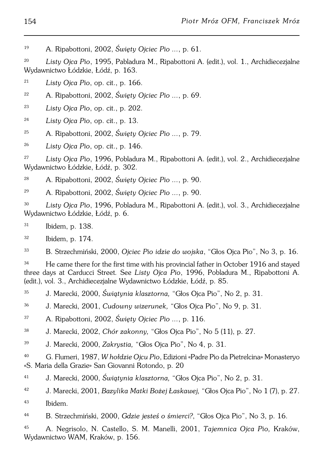A. Ripabottoni, 2002, *Święty Ojciec Pio ...*, p. 61.

 *Listy Ojca Pio*, 1995, Pabladura M., Ripabottoni A. (edit.), vol. 1., Archidiecezjalne Wydawnictwo Łódzkie, Łódź, p. 163.

*Listy Ojca Pio*, op. cit., p. 166.

- A. Ripabottoni, 2002, *Święty Ojciec Pio ...*, p. 69.
- *Listy Ojca Pio*, op. cit., p. 202.
- *Listy Ojca Pio*, op. cit., p. 13.
- A. Ripabottoni, 2002, *Święty Ojciec Pio ...*, p. 79.
- *Listy Ojca Pio*, op. cit., p. 146.

 *Listy Ojca Pio*, 1996, Pobladura M., Ripabottoni A. (edit.), vol. 2., Archidiecezjalne Wydawnictwo Łódzkie, Łódź, p. 302.

A. Ripabottoni, 2002, *Święty Ojciec Pio ...*, p. 90.

A. Ripabottoni, 2002, *Święty Ojciec Pio ...*, p. 90.

 *Listy Ojca Pio*, 1996, Pobladura M., Ripabottoni A. (edit.), vol. 3., Archidiecezjalne Wydawnictwo Łódzkie, Łódź, p. 6.

- Ibidem, p. 138.
- Ibidem, p. 174.

B. Strzechmiński, 2000, *Ojciec Pio idzie do wojska*, "Głos Ojca Pio", No 3, p. 16.

 He came there for the first time with his provincial father in October 1916 and stayed three days at Carducci Street*.* See *Listy Ojca Pio*, 1996, Pobladura M., Ripabottoni A. (edit.), vol. 3., Archidiecezjalne Wydawnictwo Łódzkie, Łódź, p. 85.

J. Marecki, 2000, *Świątynia klasztorna,* "Głos Ojca Pio", No 2, p. 31.

J. Marecki, 2001, *Cudowny wizerunek,* "Głos Ojca Pio", No 9, p. 31.

- A. Ripabottoni, 2002, *Święty Ojciec Pio ...*, p. 116.
- J. Marecki, 2002, *Chór zakonny,* "Głos Ojca Pio", No 5 (11), p. 27.
- J. Marecki, 2000, *Zakrystia,* "Głos Ojca Pio", No 4, p. 31.

 G. Flumeri, 1987, *W hołdzie Ojcu Pio*, Edizioni «Padre Pio da Pietrelcina» Monasteryo «S. Maria della Grazie» San Giovanni Rotondo, p. 20

J. Marecki, 2000, *Świątynia klasztorna,* "Głos Ojca Pio", No 2, p. 31.

J. Marecki, 2001, *Bazylika Matki Bożej Łaskawej,* "Głos Ojca Pio", No 1 (7), p. 27.

Ibidem.

B. Strzechmiński, 2000, *Gdzie jesteś o śmierci?*, "Głos Ojca Pio", No 3, p. 16.

 A. Negrisolo, N. Castello, S. M. Manelli, 2001, *Tajemnica Ojca Pio,* Kraków, Wydawnictwo WAM, Kraków, p. 156.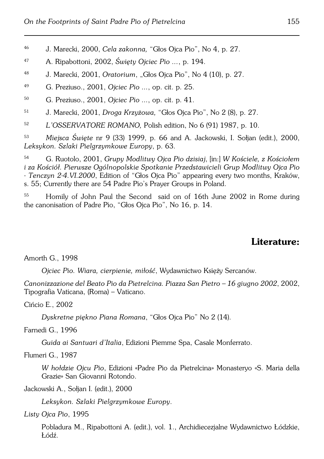<sup>46</sup> J. Marecki, 2000, *Cela zakonna,* "Głos Ojca Pio", No 4, p. 27.

- <sup>47</sup> A. Ripabottoni, 2002, *Święty Ojciec Pio ...*, p. 194.
- <sup>48</sup> J. Marecki, 2001, *Oratorium*, "Głos Ojca Pio", No 4 (10), p. 27.
- <sup>49</sup> G. Preziuso., 2001, *Ojciec Pio ...*, op. cit. p. 25.
- <sup>50</sup> G. Preziuso., 2001, *Ojciec Pio ...*, op. cit. p. 41.
- <sup>51</sup> J. Marecki, 2001, *Droga Krzyżowa,* "Głos Ojca Pio", No 2 (8), p. 27.

<sup>52</sup> *L'OSSERVATORE ROMANO,* Polish edition, No 6 (91) 1987, p. 10.

<sup>53</sup> *Miejsca Święte* nr 9 (33) 1999, p. 66 and A. Jackowski, I. Sołjan (edit.), 2000, *Leksykon. Szlaki Pielgrzymkowe Europy*, p. 63.

<sup>54</sup> G. Ruotolo, 2001, *Grupy Modlitwy Ojca Pio dzisiaj*, [in:] *W Kościele, z Kościołem iza Kościół. Pierwsze Ogólnopolskie Spotkanie Przedstawicieli Grup Modlitwy Ojca Pio − Tenczyn 2−4.VI.2000*, Edition of "Głos Ojca Pio" appearing every two months, Kraków, s.55; Currently there are 54 Padre Pio's Prayer Groups in Poland.

<sup>55</sup> Homily of John Paul the Second said on of 16th June 2002 in Rome during the canonisation of Padre Pio, "Głos Ojca Pio", No 16, p. 14.

## **Literature:**

Amorth G., 1998

*Ojciec Pio. Wiara, cierpienie, miłość*, Wydawnictwo Księży Sercanów.

*Canonizzazione del Beato Pio da Pietrelcina. Piazza San Pietro – 16 giugno 2002*, 2002, Tipografia Vaticana, (Roma) – Vaticano.

Cińcio E., 2002

*Dyskretne piękno Piana Romana*, "Głos Ojca Pio" No 2 (14).

Farnedi G., 1996

*Guida ai Santuari d'Italia*, Edizioni Piemme Spa, Casale Monferrato.

Flumeri G., 1987

*W hołdzie Ojcu Pio*, Edizioni «Padre Pio da Pietrelcina» Monasteryo «S. Maria della Grazie» San Giovanni Rotondo.

Jackowski A., Sołjan I. (edit.), 2000

*Leksykon. Szlaki Pielgrzymkowe Europy*.

*Listy Ojca Pio*, 1995

Pobladura M., Ripabottoni A. (edit.), vol. 1., Archidiecezjalne Wydawnictwo Łódzkie, Łódź.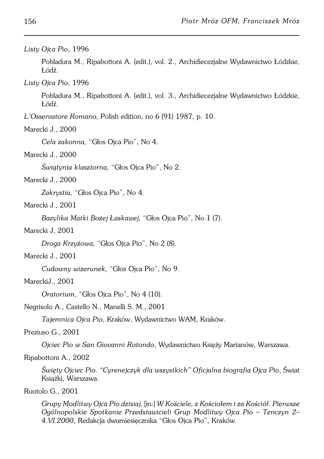#### *Listy Ojca Pio*, 1996

Pobladura M., Ripabottoni A. (edit.), vol. 2., Archidiecezjalne Wydawnictwo Łódzkie, Łódź.

#### *Listy Ojca Pio*, 1996

Pobladura M., Ripabottoni A. (edit.), vol. 3., Archidiecezjalne Wydawnictwo Łódzkie, Łódź.

*L'Osservatore Romano,* Polish edition, no 6 (91) 1987, p. 10.

#### Marecki J., 2000

*Cela zakonna,* "Głos Ojca Pio", No 4.

## Marecki J., 2000

*Świątynia klasztorna,* "Głos Ojca Pio", No 2.

## Marecki J., 2000

*Zakrystia,* "Głos Ojca Pio", No 4.

## Marecki J., 2001

*Bazylika Matki Bożej Łaskawej,* "Głos Ojca Pio", No 1 (7).

## Marecki J, 2001

*Droga Krzyżowa,* "Głos Ojca Pio", No 2 (8).

#### Marecki J., 2001

*Cudowny wizerunek,* "Głos Ojca Pio", No 9.

## MareckiJ., 2001

*Oratorium*, "Głos Ojca Pio", No 4 (10).

#### Negrisolo A., Castello N., Manelli S. M., 2001

*Tajemnica Ojca Pio,* Kraków, Wydawnictwo WAM, Kraków.

#### Preziuso G., 2001

*Ojciec Pio w San Giovanni Rotondo*, Wydawnictwo Księży Marianów, Warszawa.

#### Ripabottoni A., 2002

*Święty Ojciec Pio. "Cyrenejczyk dla wszystkich" Oficjalna biografia Ojca Pio*, Świat Książki, Warszawa.

#### Ruotolo G., 2001

*Grupy Modlitwy Ojca Pio dzisiaj*, [in:] *W Kościele, z Kościołem i za Kościół. Pierwsze Ogólnopolskie Spotkanie Przedstawicieli Grup Modlitwy Ojca Pio – Tenczyn 2– 4.VI.2000*, Redakcja dwumiesięcznika "Głos Ojca Pio", Kraków.